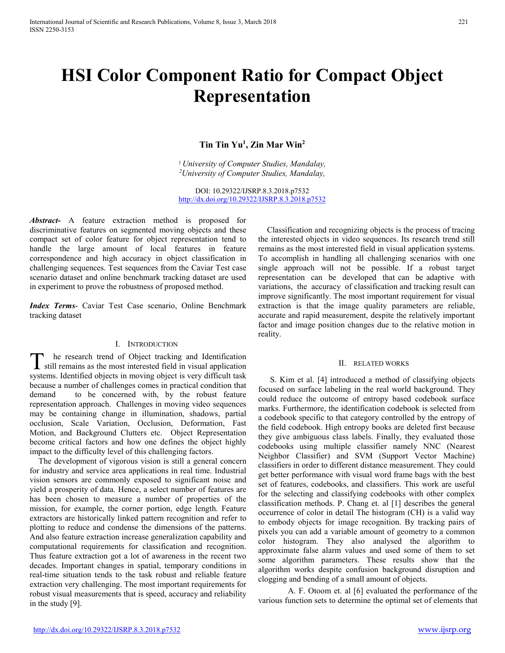# **HSI Color Component Ratio for Compact Object Representation**

# **Tin Tin Yu1 , Zin Mar Win2**

<sup>1</sup> *University of Computer Studies, Mandalay, 2 University of Computer Studies, Mandalay,* 

DOI: 10.29322/IJSRP.8.3.2018.p7532 http://dx.doi.org/10.29322/IJSRP.8.3.2018.p7532

*Abstract***-** A feature extraction method is proposed for discriminative features on segmented moving objects and these compact set of color feature for object representation tend to handle the large amount of local features in feature correspondence and high accuracy in object classification in challenging sequences. Test sequences from the Caviar Test case scenario dataset and online benchmark tracking dataset are used in experiment to prove the robustness of proposed method.

*Index Terms*- Caviar Test Case scenario, Online Benchmark tracking dataset

### I. INTRODUCTION

he research trend of Object tracking and Identification  $\sum$  he research trend of Object tracking and Identification still remains as the most interested field in visual application systems. Identified objects in moving object is very difficult task because a number of challenges comes in practical condition that demand to be concerned with, by the robust feature representation approach. Challenges in moving video sequences may be containing change in illumination, shadows, partial occlusion, Scale Variation, Occlusion, Deformation, Fast Motion, and Background Clutters etc. Object Representation become critical factors and how one defines the object highly impact to the difficulty level of this challenging factors.

The development of vigorous vision is still a general concern for industry and service area applications in real time. Industrial vision sensors are commonly exposed to significant noise and yield a prosperity of data. Hence, a select number of features are has been chosen to measure a number of properties of the mission, for example, the corner portion, edge length. Feature extractors are historically linked pattern recognition and refer to plotting to reduce and condense the dimensions of the patterns. And also feature extraction increase generalization capability and computational requirements for classification and recognition. Thus feature extraction got a lot of awareness in the recent two decades. Important changes in spatial, temporary conditions in real-time situation tends to the task robust and reliable feature extraction very challenging. The most important requirements for robust visual measurements that is speed, accuracy and reliability in the study [9].

Classification and recognizing objects is the process of tracing the interested objects in video sequences. Its research trend still remains as the most interested field in visual application systems. To accomplish in handling all challenging scenarios with one single approach will not be possible. If a robust target representation can be developed that can be adaptive with variations, the accuracy of classification and tracking result can improve significantly. The most important requirement for visual extraction is that the image quality parameters are reliable, accurate and rapid measurement, despite the relatively important factor and image position changes due to the relative motion in reality.

### II. RELATED WORKS

S. Kim et al. [4] introduced a method of classifying objects focused on surface labeling in the real world background. They could reduce the outcome of entropy based codebook surface marks. Furthermore, the identification codebook is selected from a codebook specific to that category controlled by the entropy of the field codebook. High entropy books are deleted first because they give ambiguous class labels. Finally, they evaluated those codebooks using multiple classifier namely NNC (Nearest Neighbor Classifier) and SVM (Support Vector Machine) classifiers in order to different distance measurement. They could get better performance with visual word frame bags with the best set of features, codebooks, and classifiers. This work are useful for the selecting and classifying codebooks with other complex classification methods. P. Chang et. al [1] describes the general occurrence of color in detail The histogram (CH) is a valid way to embody objects for image recognition. By tracking pairs of pixels you can add a variable amount of geometry to a common color histogram. They also analysed the algorithm to approximate false alarm values and used some of them to set some algorithm parameters. These results show that the algorithm works despite confusion background disruption and clogging and bending of a small amount of objects.

A. F. Otoom et. al [6] evaluated the performance of the various function sets to determine the optimal set of elements that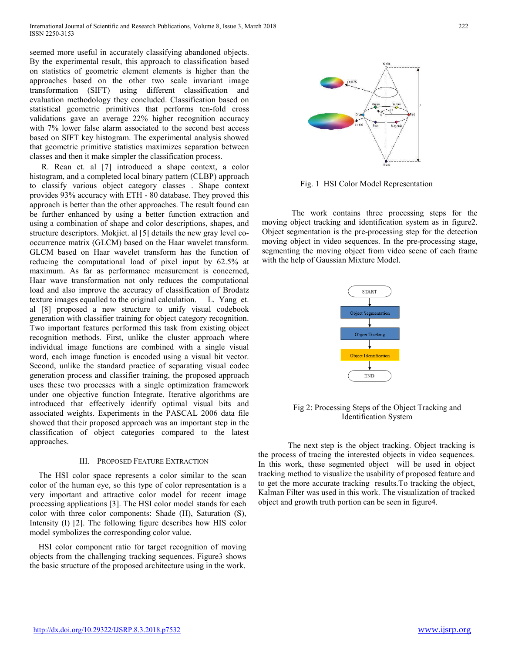seemed more useful in accurately classifying abandoned objects. By the experimental result, this approach to classification based on statistics of geometric element elements is higher than the approaches based on the other two scale invariant image transformation (SIFT) using different classification and evaluation methodology they concluded. Classification based on statistical geometric primitives that performs ten-fold cross validations gave an average 22% higher recognition accuracy with 7% lower false alarm associated to the second best access based on SIFT key histogram. The experimental analysis showed that geometric primitive statistics maximizes separation between classes and then it make simpler the classification process.

R. Rean et. al [7] introduced a shape context, a color histogram, and a completed local binary pattern (CLBP) approach to classify various object category classes . Shape context provides 93% accuracy with ETH - 80 database. They proved this approach is better than the other approaches. The result found can be further enhanced by using a better function extraction and using a combination of shape and color descriptions, shapes, and structure descriptors. Mokjiet. al [5] details the new gray level cooccurrence matrix (GLCM) based on the Haar wavelet transform. GLCM based on Haar wavelet transform has the function of reducing the computational load of pixel input by 62.5% at maximum. As far as performance measurement is concerned, Haar wave transformation not only reduces the computational load and also improve the accuracy of classification of Brodatz texture images equalled to the original calculation. L. Yang et. al [8] proposed a new structure to unify visual codebook generation with classifier training for object category recognition. Two important features performed this task from existing object recognition methods. First, unlike the cluster approach where individual image functions are combined with a single visual word, each image function is encoded using a visual bit vector. Second, unlike the standard practice of separating visual codec generation process and classifier training, the proposed approach uses these two processes with a single optimization framework under one objective function Integrate. Iterative algorithms are introduced that effectively identify optimal visual bits and associated weights. Experiments in the PASCAL 2006 data file showed that their proposed approach was an important step in the classification of object categories compared to the latest approaches.

# III. PROPOSED FEATURE EXTRACTION

The HSI color space represents a color similar to the scan color of the human eye, so this type of color representation is a very important and attractive color model for recent image processing applications [3]. The HSI color model stands for each color with three color components: Shade (H), Saturation (S), Intensity (I) [2]. The following figure describes how HIS color model symbolizes the corresponding color value.

HSI color component ratio for target recognition of moving objects from the challenging tracking sequences. Figure3 shows the basic structure of the proposed architecture using in the work.



Fig. 1 HSI Color Model Representation

The work contains three processing steps for the moving object tracking and identification system as in figure2. Object segmentation is the pre-processing step for the detection moving object in video sequences. In the pre-processing stage, segmenting the moving object from video scene of each frame with the help of Gaussian Mixture Model.



Fig 2: Processing Steps of the Object Tracking and Identification System

The next step is the object tracking. Object tracking is the process of tracing the interested objects in video sequences. In this work, these segmented object will be used in object tracking method to visualize the usability of proposed feature and to get the more accurate tracking results.To tracking the object, Kalman Filter was used in this work. The visualization of tracked object and growth truth portion can be seen in figure4.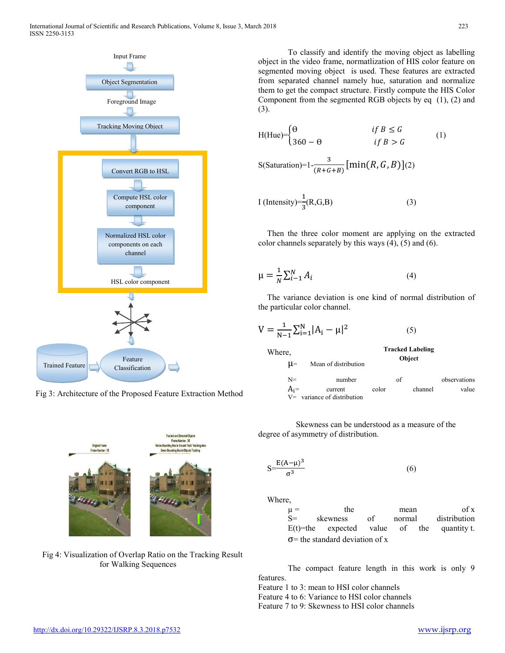

Fig 3: Architecture of the Proposed Feature Extraction Method



Fig 4: Visualization of Overlap Ratio on the Tracking Result for Walking Sequences

To classify and identify the moving object as labelling object in the video frame, normatlization of HIS color feature on segmented moving object is used. These features are extracted from separated channel namely hue, saturation and normalize them to get the compact structure. Firstly compute the HIS Color Component from the segmented RGB objects by eq (1), (2) and (3).

$$
H(Hue) = \begin{cases} \Theta & \text{if } B \le G \\ 360 - \Theta & \text{if } B > G \end{cases}
$$
 (1)

$$
S(Saturation)=1-\frac{3}{(R+G+B)}[\min(R, G, B)](2)
$$

$$
I \left( \text{Intensity} \right) = \frac{1}{3} (R, G, B) \tag{3}
$$

Then the three color moment are applying on the extracted color channels separately by this ways (4), (5) and (6).

$$
\mu = \frac{1}{N} \sum_{i=1}^{N} A_i \tag{4}
$$

The variance deviation is one kind of normal distribution of the particular color channel.

$$
V = \frac{1}{N-1} \sum_{i=1}^{N} |A_i - \mu|^2
$$
 (5)

μ= Mean of distribution

**Tracked Labeling Object** 



Skewness can be understood as a measure of the degree of asymmetry of distribution.

$$
S = \frac{E(A - \mu)^3}{\sigma^3} \tag{6}
$$

Where,

Where,

| $\mu =$                                | the                                           |      | mean   |  | of x         |
|----------------------------------------|-----------------------------------------------|------|--------|--|--------------|
| $S=$                                   | skewness                                      | of - | normal |  | distribution |
|                                        | $E(t)$ =the expected value of the quantity t. |      |        |  |              |
| $\sigma$ = the standard deviation of x |                                               |      |        |  |              |

The compact feature length in this work is only 9 features.

Feature 1 to 3: mean to HSI color channels

Feature 4 to 6: Variance to HSI color channels

Feature 7 to 9: Skewness to HSI color channels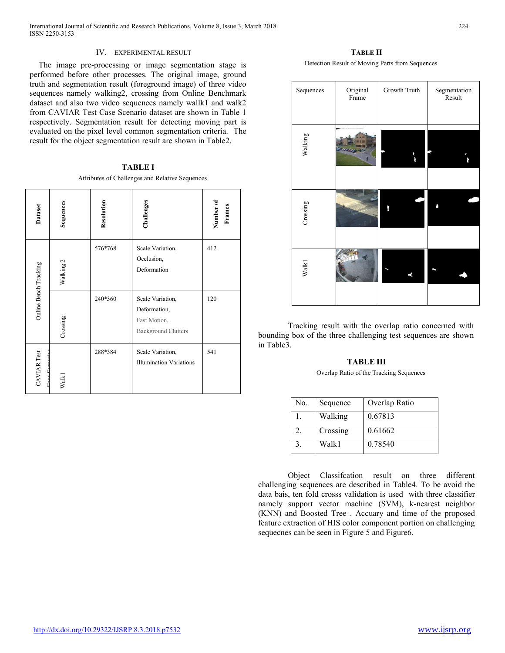# IV. EXPERIMENTAL RESULT

The image pre-processing or image segmentation stage is performed before other processes. The original image, ground truth and segmentation result (foreground image) of three video sequences namely walking2, crossing from Online Benchmark dataset and also two video sequences namely wallk1 and walk2 from CAVIAR Test Case Scenario dataset are shown in Table 1 respectively. Segmentation result for detecting moving part is evaluated on the pixel level common segmentation criteria. The result for the object segmentation result are shown in Table2.

| <b>TABLE I</b>                                  |
|-------------------------------------------------|
| Attributes of Challenges and Relative Sequences |

| Dataset               | Sequences | Resolution | Challenges                                                                     | Number of<br>Frames |
|-----------------------|-----------|------------|--------------------------------------------------------------------------------|---------------------|
|                       | Walking 2 | 576*768    | Scale Variation,<br>Occlusion,<br>Deformation                                  | 412                 |
| Online Bench Tracking | Crossing  | 240*360    | Scale Variation,<br>Deformation,<br>Fast Motion,<br><b>Background Clutters</b> | 120                 |
| CAVIAR Test           | Walk1     | 288*384    | Scale Variation,<br><b>Illumination Variations</b>                             | 541                 |

**TABLE II** Detection Result of Moving Parts from Sequences

| Sequences         | Original<br>Frame | Growth Truth | Segmentation<br>Result |
|-------------------|-------------------|--------------|------------------------|
| Walking           |                   | À            |                        |
| Crossing          |                   |              |                        |
| Walk <sub>1</sub> |                   |              |                        |

Tracking result with the overlap ratio concerned with bounding box of the three challenging test sequences are shown in Table3.

# **TABLE III**

Overlap Ratio of the Tracking Sequences

| No.           | Sequence | Overlap Ratio |
|---------------|----------|---------------|
|               | Walking  | 0.67813       |
| $\mathcal{L}$ | Crossing | 0.61662       |
|               | Walk1    | 0.78540       |

Object Classifcation result on three different challenging sequences are described in Table4. To be avoid the data bais, ten fold crosss validation is used with three classifier namely support vector machine (SVM), k-nearest neighbor (KNN) and Boosted Tree . Accuary and time of the proposed feature extraction of HIS color component portion on challenging sequecnes can be seen in Figure 5 and Figure6.